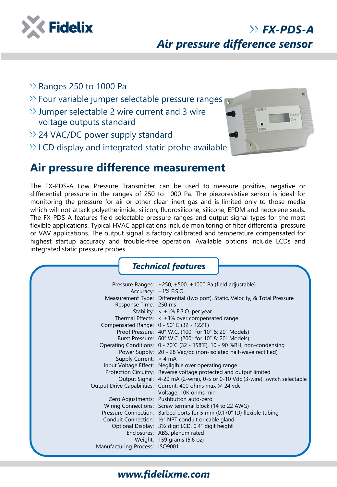

# *Air pressure difference sensor*

- $\gg$  Ranges 250 to 1000 Pa
- $\gg$  Four variable jumper selectable pressure ranges
- $\gg$  Jumper selectable 2 wire current and 3 wire voltage outputs standard
- $\rightarrow$  24 VAC/DC power supply standard
- $\gg$  LCD display and integrated static probe available



*FX-PDS-A*

## **Air pressure difference measurement**

The FX-PDS-A Low Pressure Transmitter can be used to measure positive, negative or differential pressure in the ranges of 250 to 1000 Pa. The piezoresistive sensor is ideal for monitoring the pressure for air or other clean inert gas and is limited only to those media which will not attack polyetherimide, silicon, fluorosilicone, silicone, EPDM and neoprene seals. The FX-PDS-A features field selectable pressure ranges and output signal types for the most flexible applications. Typical HVAC applications include monitoring of filter differential pressure or VAV applications. The output signal is factory calibrated and temperature compensated for highest startup accuracy and trouble-free operation. Available options include LCDs and integrated static pressure probes.

|                                                                                              | <b>Technical features</b>                                                                                                                                                                                                                                                                                                                                                                                                                                                                                                                                                                                                                                                                                                                                                                                                                                                                                                                                                                                            |
|----------------------------------------------------------------------------------------------|----------------------------------------------------------------------------------------------------------------------------------------------------------------------------------------------------------------------------------------------------------------------------------------------------------------------------------------------------------------------------------------------------------------------------------------------------------------------------------------------------------------------------------------------------------------------------------------------------------------------------------------------------------------------------------------------------------------------------------------------------------------------------------------------------------------------------------------------------------------------------------------------------------------------------------------------------------------------------------------------------------------------|
| Response Time: 250 ms<br>Compensated Range: 0 - 50° C (32 - 122°F)<br>Supply Current: < 4 mA | Pressure Ranges: ±250, ±500, ±1000 Pa (field adjustable)<br>Accuracy: $\pm 1\%$ F.S.O.<br>Measurement Type: Differential (two port), Static, Velocity, & Total Pressure<br>Stability: < ±1% F.S.O. per year<br>Thermal Effects: $\leq$ ±3% over compensated range<br>Proof Pressure: 40" W.C. (100" for 10" & 20" Models)<br>Burst Pressure: 60" W.C. (200" for 10" & 20" Models)<br>Operating Conditions: 0 - 70°C (32 - 158°F), 10 - 90 %RH, non-condensing<br>Power Supply: 20 - 28 Vac/dc (non-isolated half-wave rectified)<br>Input Voltage Effect: Negligible over operating range<br>Protection Circuitry: Reverse voltage protected and output limited<br>Output Signal: 4-20 mA (2-wire), 0-5 or 0-10 Vdc (3-wire), switch selectable<br>Output Drive Capabilities: Current: 400 ohms max @ 24 vdc<br>Voltage: 10K ohms min<br>Zero Adjustments: Pushbutton auto-zero<br>Wiring Connections: Screw terminal block (14 to 22 AWG)<br>Pressure Connection: Barbed ports for 5 mm (0.170" ID) flexible tubing |
| Manufacturing Process: ISO9001                                                               | Conduit Connection: 1/2" NPT conduit or cable gland<br>Optional Display: 31/2 digit LCD, 0.4" digit height<br>Enclosures: ABS, plenum rated<br>Weight: 159 grams (5.6 oz)                                                                                                                                                                                                                                                                                                                                                                                                                                                                                                                                                                                                                                                                                                                                                                                                                                            |

#### *www.fidelixme.com*